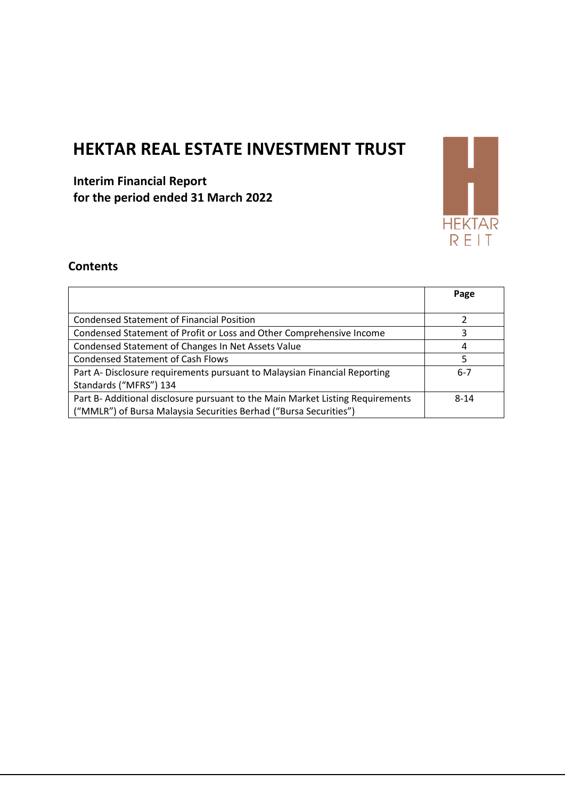# **HEKTAR REAL ESTATE INVESTMENT TRUST**

**Interim Financial Report for the period ended 31 March 2022**



## **Contents**

|                                                                                | Page     |
|--------------------------------------------------------------------------------|----------|
|                                                                                |          |
| <b>Condensed Statement of Financial Position</b>                               |          |
| Condensed Statement of Profit or Loss and Other Comprehensive Income           |          |
| Condensed Statement of Changes In Net Assets Value                             | 4        |
| <b>Condensed Statement of Cash Flows</b>                                       | 5        |
| Part A-Disclosure requirements pursuant to Malaysian Financial Reporting       | $6 - 7$  |
| Standards ("MFRS") 134                                                         |          |
| Part B- Additional disclosure pursuant to the Main Market Listing Requirements | $8 - 14$ |
| ("MMLR") of Bursa Malaysia Securities Berhad ("Bursa Securities")              |          |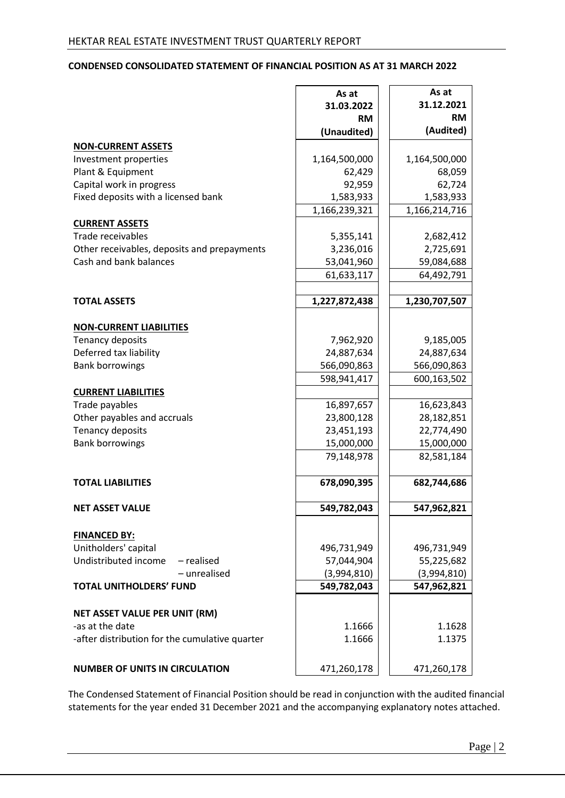## **CONDENSED CONSOLIDATED STATEMENT OF FINANCIAL POSITION AS AT 31 MARCH 2022**

|                                                | As at<br>31.03.2022<br><b>RM</b><br>(Unaudited) | As at<br>31.12.2021<br><b>RM</b><br>(Audited) |
|------------------------------------------------|-------------------------------------------------|-----------------------------------------------|
| <b>NON-CURRENT ASSETS</b>                      |                                                 |                                               |
| Investment properties                          | 1,164,500,000                                   | 1,164,500,000                                 |
| Plant & Equipment                              | 62,429                                          | 68,059                                        |
| Capital work in progress                       | 92,959                                          | 62,724                                        |
| Fixed deposits with a licensed bank            | 1,583,933                                       | 1,583,933                                     |
|                                                | 1,166,239,321                                   | 1,166,214,716                                 |
| <b>CURRENT ASSETS</b>                          |                                                 |                                               |
| Trade receivables                              | 5,355,141                                       | 2,682,412                                     |
| Other receivables, deposits and prepayments    | 3,236,016                                       | 2,725,691                                     |
| Cash and bank balances                         | 53,041,960                                      | 59,084,688                                    |
|                                                | 61,633,117                                      | 64,492,791                                    |
| <b>TOTAL ASSETS</b>                            | 1,227,872,438                                   | 1,230,707,507                                 |
| <b>NON-CURRENT LIABILITIES</b>                 |                                                 |                                               |
| Tenancy deposits                               | 7,962,920                                       | 9,185,005                                     |
| Deferred tax liability                         | 24,887,634                                      | 24,887,634                                    |
| <b>Bank borrowings</b>                         | 566,090,863                                     | 566,090,863                                   |
|                                                | 598,941,417                                     | 600,163,502                                   |
| <b>CURRENT LIABILITIES</b>                     |                                                 |                                               |
| Trade payables                                 | 16,897,657                                      | 16,623,843                                    |
| Other payables and accruals                    | 23,800,128                                      | 28,182,851                                    |
| Tenancy deposits                               | 23,451,193                                      | 22,774,490                                    |
| <b>Bank borrowings</b>                         | 15,000,000                                      | 15,000,000                                    |
|                                                | 79,148,978                                      | 82,581,184                                    |
| <b>TOTAL LIABILITIES</b>                       | 678,090,395                                     | 682,744,686                                   |
| <b>NET ASSET VALUE</b>                         | 549,782,043                                     | 547,962,821                                   |
| <b>FINANCED BY:</b>                            |                                                 |                                               |
| Unitholders' capital                           | 496,731,949                                     | 496,731,949                                   |
| Undistributed income<br>- realised             | 57,044,904                                      | 55,225,682                                    |
| - unrealised                                   | (3,994,810)                                     | (3,994,810)                                   |
| <b>TOTAL UNITHOLDERS' FUND</b>                 | 549,782,043                                     | 547,962,821                                   |
| <b>NET ASSET VALUE PER UNIT (RM)</b>           |                                                 |                                               |
| -as at the date                                | 1.1666                                          | 1.1628                                        |
| -after distribution for the cumulative quarter | 1.1666                                          | 1.1375                                        |
| <b>NUMBER OF UNITS IN CIRCULATION</b>          | 471,260,178                                     | 471,260,178                                   |

The Condensed Statement of Financial Position should be read in conjunction with the audited financial statements for the year ended 31 December 2021 and the accompanying explanatory notes attached.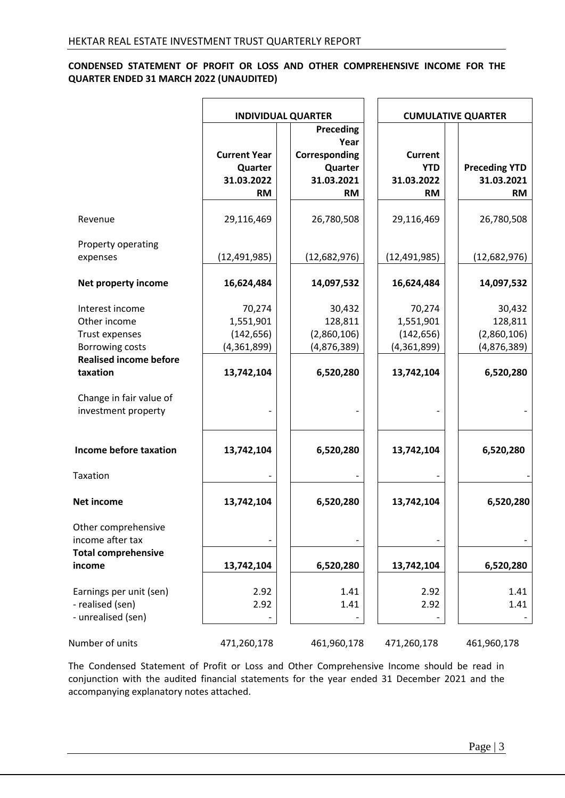## **CONDENSED STATEMENT OF PROFIT OR LOSS AND OTHER COMPREHENSIVE INCOME FOR THE QUARTER ENDED 31 MARCH 2022 (UNAUDITED)**

|                                                                                                              |                                                           | <b>INDIVIDUAL QUARTER</b>                                                       |                                                         | <b>CUMULATIVE QUARTER</b>                       |
|--------------------------------------------------------------------------------------------------------------|-----------------------------------------------------------|---------------------------------------------------------------------------------|---------------------------------------------------------|-------------------------------------------------|
|                                                                                                              | <b>Current Year</b><br>Quarter<br>31.03.2022<br><b>RM</b> | <b>Preceding</b><br>Year<br>Corresponding<br>Quarter<br>31.03.2021<br><b>RM</b> | <b>Current</b><br><b>YTD</b><br>31.03.2022<br><b>RM</b> | <b>Preceding YTD</b><br>31.03.2021<br><b>RM</b> |
| Revenue                                                                                                      | 29,116,469                                                | 26,780,508                                                                      | 29,116,469                                              | 26,780,508                                      |
| Property operating<br>expenses                                                                               | (12, 491, 985)                                            | (12,682,976)                                                                    | (12, 491, 985)                                          | (12,682,976)                                    |
| Net property income                                                                                          | 16,624,484                                                | 14,097,532                                                                      | 16,624,484                                              | 14,097,532                                      |
| Interest income<br>Other income<br>Trust expenses<br><b>Borrowing costs</b><br><b>Realised income before</b> | 70,274<br>1,551,901<br>(142, 656)<br>(4,361,899)          | 30,432<br>128,811<br>(2,860,106)<br>(4,876,389)                                 | 70,274<br>1,551,901<br>(142, 656)<br>(4,361,899)        | 30,432<br>128,811<br>(2,860,106)<br>(4,876,389) |
| taxation                                                                                                     | 13,742,104                                                | 6,520,280                                                                       | 13,742,104                                              | 6,520,280                                       |
| Change in fair value of<br>investment property                                                               |                                                           |                                                                                 |                                                         |                                                 |
| Income before taxation                                                                                       | 13,742,104                                                | 6,520,280                                                                       | 13,742,104                                              | 6,520,280                                       |
| Taxation                                                                                                     |                                                           |                                                                                 |                                                         |                                                 |
| <b>Net income</b>                                                                                            | 13,742,104                                                | 6,520,280                                                                       | 13,742,104                                              | 6,520,280                                       |
| Other comprehensive<br>income after tax<br><b>Total comprehensive</b>                                        |                                                           |                                                                                 |                                                         |                                                 |
| income                                                                                                       | 13,742,104                                                | 6,520,280                                                                       | 13,742,104                                              | 6,520,280                                       |
| Earnings per unit (sen)<br>- realised (sen)<br>- unrealised (sen)                                            | 2.92<br>2.92                                              | 1.41<br>1.41                                                                    | 2.92<br>2.92                                            | 1.41<br>1.41                                    |
| Number of units                                                                                              | 471,260,178                                               | 461,960,178                                                                     | 471,260,178                                             | 461,960,178                                     |

The Condensed Statement of Profit or Loss and Other Comprehensive Income should be read in conjunction with the audited financial statements for the year ended 31 December 2021 and the accompanying explanatory notes attached.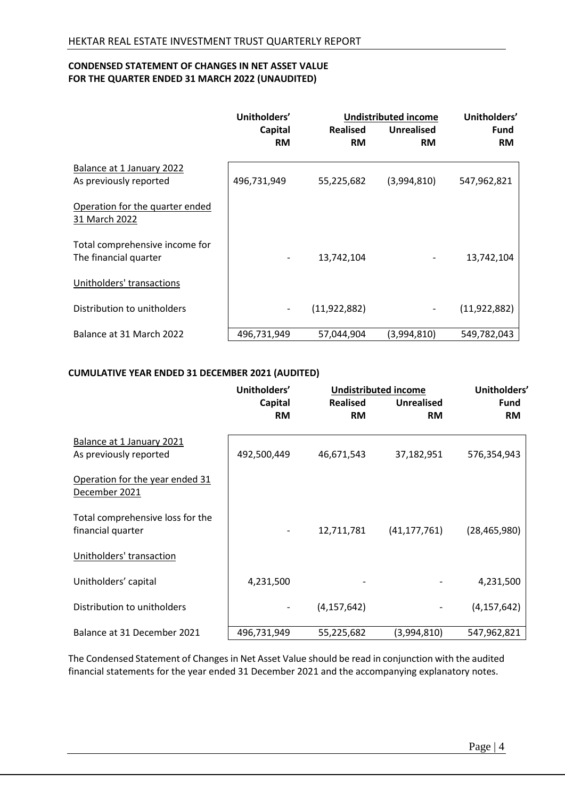## **CONDENSED STATEMENT OF CHANGES IN NET ASSET VALUE FOR THE QUARTER ENDED 31 MARCH 2022 (UNAUDITED)**

|                                                         | Unitholders' | <b>Undistributed income</b> |                   |                |  | Unitholders' |
|---------------------------------------------------------|--------------|-----------------------------|-------------------|----------------|--|--------------|
|                                                         | Capital      | <b>Realised</b>             | <b>Unrealised</b> | <b>Fund</b>    |  |              |
|                                                         | <b>RM</b>    | <b>RM</b>                   | <b>RM</b>         | <b>RM</b>      |  |              |
| Balance at 1 January 2022<br>As previously reported     | 496,731,949  | 55,225,682                  | (3,994,810)       | 547,962,821    |  |              |
| Operation for the quarter ended<br>31 March 2022        |              |                             |                   |                |  |              |
| Total comprehensive income for<br>The financial quarter |              | 13,742,104                  |                   | 13,742,104     |  |              |
| Unitholders' transactions                               |              |                             |                   |                |  |              |
| Distribution to unitholders                             | -            | (11, 922, 882)              | -                 | (11, 922, 882) |  |              |
| Balance at 31 March 2022                                | 496,731,949  | 57,044,904                  | (3,994,810)       | 549,782,043    |  |              |

## **CUMULATIVE YEAR ENDED 31 DECEMBER 2021 (AUDITED)**

|                                                       | Unitholders'<br><b>Undistributed income</b> |                 |                   | Unitholders'   |
|-------------------------------------------------------|---------------------------------------------|-----------------|-------------------|----------------|
|                                                       | Capital                                     | <b>Realised</b> | <b>Unrealised</b> | <b>Fund</b>    |
|                                                       | <b>RM</b>                                   | <b>RM</b>       | <b>RM</b>         | <b>RM</b>      |
| Balance at 1 January 2021<br>As previously reported   | 492,500,449                                 | 46,671,543      | 37,182,951        | 576,354,943    |
| Operation for the year ended 31<br>December 2021      |                                             |                 |                   |                |
| Total comprehensive loss for the<br>financial quarter |                                             | 12,711,781      | (41, 177, 761)    | (28, 465, 980) |
| Unitholders' transaction                              |                                             |                 |                   |                |
| Unitholders' capital                                  | 4,231,500                                   |                 |                   | 4,231,500      |
| Distribution to unitholders                           |                                             | (4, 157, 642)   |                   | (4, 157, 642)  |
| Balance at 31 December 2021                           | 496,731,949                                 | 55,225,682      | (3,994,810)       | 547,962,821    |

The Condensed Statement of Changes in Net Asset Value should be read in conjunction with the audited financial statements for the year ended 31 December 2021 and the accompanying explanatory notes.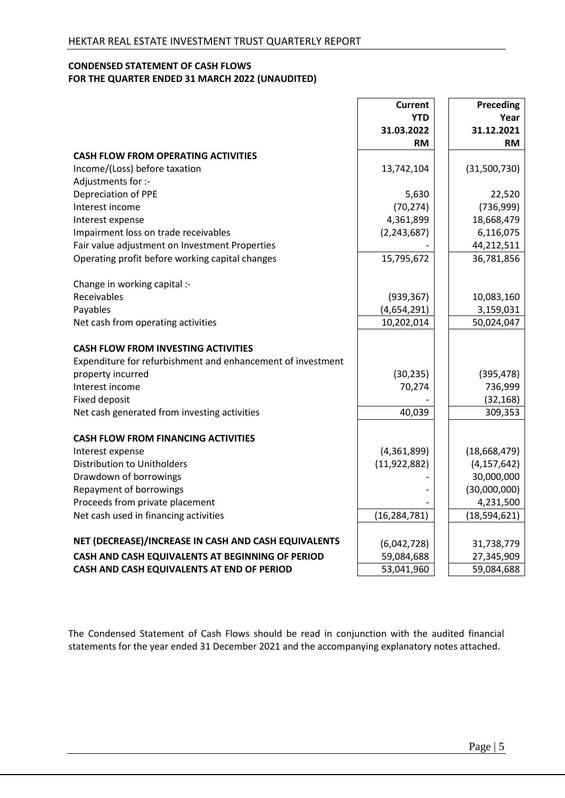## **CONDENSED STATEMENT OF CASH FLOWS FOR THE QUARTER ENDED 31 MARCH 2022 (UNAUDITED)**

|                                                             | <b>Current</b>          | <b>Preceding</b>        |
|-------------------------------------------------------------|-------------------------|-------------------------|
|                                                             | <b>YTD</b>              | Year                    |
|                                                             | 31.03.2022<br><b>RM</b> | 31.12.2021<br><b>RM</b> |
| <b>CASH FLOW FROM OPERATING ACTIVITIES</b>                  |                         |                         |
| Income/(Loss) before taxation                               | 13,742,104              | (31,500,730)            |
| Adjustments for :-                                          |                         |                         |
| Depreciation of PPE                                         | 5,630                   | 22,520                  |
| Interest income                                             | (70, 274)               | (736,999)               |
| Interest expense                                            | 4,361,899               | 18,668,479              |
| Impairment loss on trade receivables                        | (2, 243, 687)           | 6,116,075               |
| Fair value adjustment on Investment Properties              |                         | 44,212,511              |
| Operating profit before working capital changes             | 15,795,672              | 36,781,856              |
|                                                             |                         |                         |
| Change in working capital :-                                |                         |                         |
| Receivables                                                 | (939, 367)              | 10,083,160              |
| Payables                                                    | (4,654,291)             | 3,159,031               |
| Net cash from operating activities                          | 10,202,014              | 50,024,047              |
|                                                             |                         |                         |
| <b>CASH FLOW FROM INVESTING ACTIVITIES</b>                  |                         |                         |
| Expenditure for refurbishment and enhancement of investment |                         |                         |
| property incurred                                           | (30, 235)               | (395, 478)              |
| Interest income                                             | 70,274                  | 736,999                 |
| <b>Fixed deposit</b>                                        |                         | (32, 168)               |
| Net cash generated from investing activities                | 40,039                  | 309,353                 |
|                                                             |                         |                         |
| <b>CASH FLOW FROM FINANCING ACTIVITIES</b>                  |                         |                         |
| Interest expense                                            | (4,361,899)             | (18,668,479)            |
| <b>Distribution to Unitholders</b>                          | (11, 922, 882)          | (4, 157, 642)           |
| Drawdown of borrowings                                      |                         | 30,000,000              |
| Repayment of borrowings                                     |                         | (30,000,000)            |
| Proceeds from private placement                             |                         | 4,231,500               |
| Net cash used in financing activities                       | (16, 284, 781)          | (18, 594, 621)          |
|                                                             |                         |                         |
| NET (DECREASE)/INCREASE IN CASH AND CASH EQUIVALENTS        | (6,042,728)             | 31,738,779              |
| CASH AND CASH EQUIVALENTS AT BEGINNING OF PERIOD            | 59,084,688              | 27,345,909              |
| CASH AND CASH EQUIVALENTS AT END OF PERIOD                  | 53,041,960              | 59,084,688              |

The Condensed Statement of Cash Flows should be read in conjunction with the audited financial statements for the year ended 31 December 2021 and the accompanying explanatory notes attached.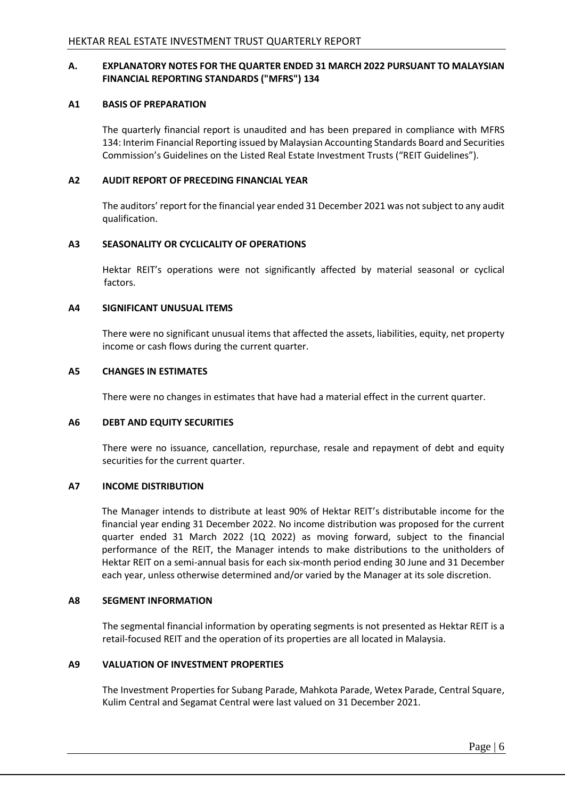## **A. EXPLANATORY NOTES FOR THE QUARTER ENDED 31 MARCH 2022 PURSUANT TO MALAYSIAN FINANCIAL REPORTING STANDARDS ("MFRS") 134**

#### **A1 BASIS OF PREPARATION**

The quarterly financial report is unaudited and has been prepared in compliance with MFRS 134: Interim Financial Reporting issued by Malaysian Accounting Standards Board and Securities Commission's Guidelines on the Listed Real Estate Investment Trusts ("REIT Guidelines").

## **A2 AUDIT REPORT OF PRECEDING FINANCIAL YEAR**

The auditors' report for the financial year ended 31 December 2021 was not subject to any audit qualification.

## **A3 SEASONALITY OR CYCLICALITY OF OPERATIONS**

Hektar REIT's operations were not significantly affected by material seasonal or cyclical factors.

## **A4 SIGNIFICANT UNUSUAL ITEMS**

There were no significant unusual items that affected the assets, liabilities, equity, net property income or cash flows during the current quarter.

#### **A5 CHANGES IN ESTIMATES**

There were no changes in estimates that have had a material effect in the current quarter.

#### **A6 DEBT AND EQUITY SECURITIES**

There were no issuance, cancellation, repurchase, resale and repayment of debt and equity securities for the current quarter.

#### **A7 INCOME DISTRIBUTION**

The Manager intends to distribute at least 90% of Hektar REIT's distributable income for the financial year ending 31 December 2022. No income distribution was proposed for the current quarter ended 31 March 2022 (1Q 2022) as moving forward, subject to the financial performance of the REIT, the Manager intends to make distributions to the unitholders of Hektar REIT on a semi-annual basis for each six-month period ending 30 June and 31 December each year, unless otherwise determined and/or varied by the Manager at its sole discretion.

#### **A8 SEGMENT INFORMATION**

The segmental financial information by operating segments is not presented as Hektar REIT is a retail-focused REIT and the operation of its properties are all located in Malaysia.

#### **A9 VALUATION OF INVESTMENT PROPERTIES**

The Investment Properties for Subang Parade, Mahkota Parade, Wetex Parade, Central Square, Kulim Central and Segamat Central were last valued on 31 December 2021.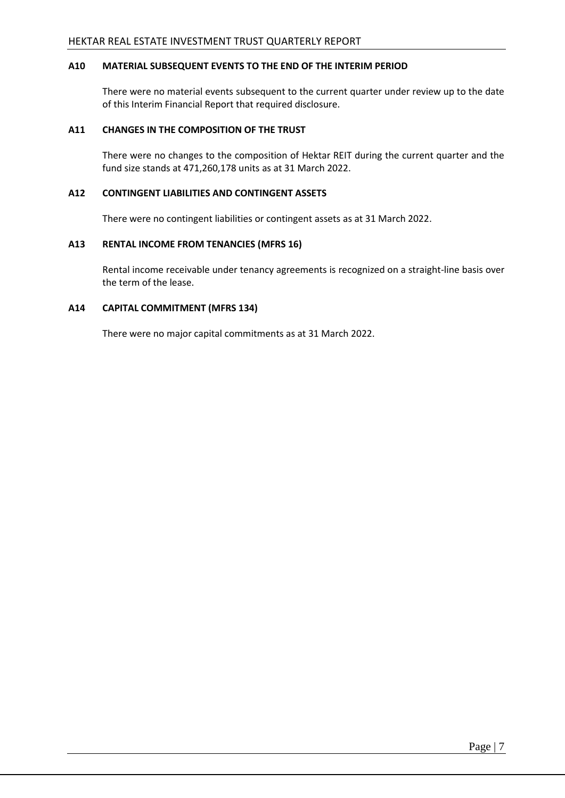## **A10 MATERIAL SUBSEQUENT EVENTS TO THE END OF THE INTERIM PERIOD**

There were no material events subsequent to the current quarter under review up to the date of this Interim Financial Report that required disclosure.

## **A11 CHANGES IN THE COMPOSITION OF THE TRUST**

There were no changes to the composition of Hektar REIT during the current quarter and the fund size stands at 471,260,178 units as at 31 March 2022.

## **A12 CONTINGENT LIABILITIES AND CONTINGENT ASSETS**

There were no contingent liabilities or contingent assets as at 31 March 2022.

## **A13 RENTAL INCOME FROM TENANCIES (MFRS 16)**

Rental income receivable under tenancy agreements is recognized on a straight-line basis over the term of the lease.

## **A14 CAPITAL COMMITMENT (MFRS 134)**

There were no major capital commitments as at 31 March 2022.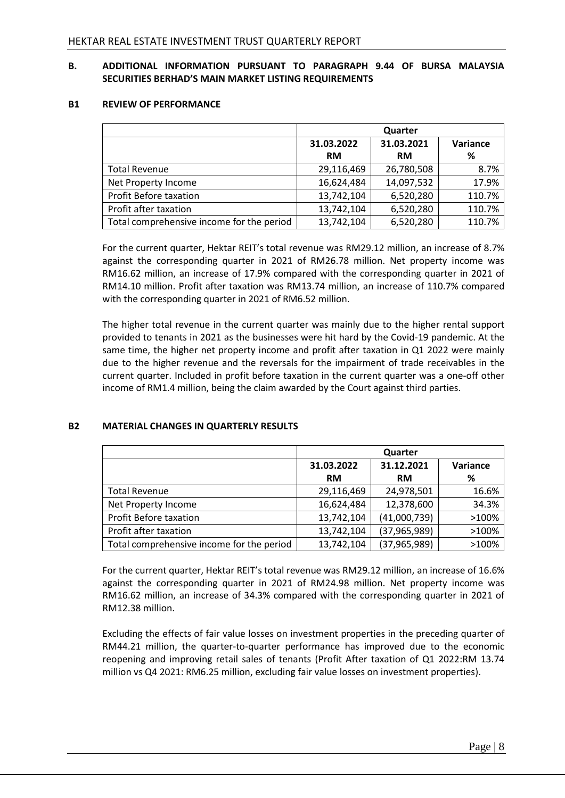## **B. ADDITIONAL INFORMATION PURSUANT TO PARAGRAPH 9.44 OF BURSA MALAYSIA SECURITIES BERHAD'S MAIN MARKET LISTING REQUIREMENTS**

#### **B1 REVIEW OF PERFORMANCE**

|                                           | Quarter                  |            |          |  |
|-------------------------------------------|--------------------------|------------|----------|--|
|                                           | 31.03.2021<br>31.03.2022 |            | Variance |  |
|                                           | <b>RM</b>                | RM         | %        |  |
| <b>Total Revenue</b>                      | 29,116,469               | 26,780,508 | 8.7%     |  |
| Net Property Income                       | 16,624,484               | 14,097,532 | 17.9%    |  |
| Profit Before taxation                    | 13,742,104               | 6,520,280  | 110.7%   |  |
| Profit after taxation                     | 13,742,104               | 6,520,280  | 110.7%   |  |
| Total comprehensive income for the period | 13,742,104               | 6,520,280  | 110.7%   |  |

For the current quarter, Hektar REIT's total revenue was RM29.12 million, an increase of 8.7% against the corresponding quarter in 2021 of RM26.78 million. Net property income was RM16.62 million, an increase of 17.9% compared with the corresponding quarter in 2021 of RM14.10 million. Profit after taxation was RM13.74 million, an increase of 110.7% compared with the corresponding quarter in 2021 of RM6.52 million.

The higher total revenue in the current quarter was mainly due to the higher rental support provided to tenants in 2021 as the businesses were hit hard by the Covid-19 pandemic. At the same time, the higher net property income and profit after taxation in Q1 2022 were mainly due to the higher revenue and the reversals for the impairment of trade receivables in the current quarter. Included in profit before taxation in the current quarter was a one-off other income of RM1.4 million, being the claim awarded by the Court against third parties.

## **B2 MATERIAL CHANGES IN QUARTERLY RESULTS**

|                                           | Quarter                  |                |          |
|-------------------------------------------|--------------------------|----------------|----------|
|                                           | 31.12.2021<br>31.03.2022 |                | Variance |
|                                           | <b>RM</b>                | <b>RM</b>      | %        |
| <b>Total Revenue</b>                      | 29,116,469               | 24,978,501     | 16.6%    |
| Net Property Income                       | 16,624,484               | 12,378,600     | 34.3%    |
| Profit Before taxation                    | 13,742,104               | (41,000,739)   | >100%    |
| Profit after taxation                     | 13,742,104               | (37, 965, 989) | >100%    |
| Total comprehensive income for the period | 13,742,104               | (37,965,989)   | >100%    |

For the current quarter, Hektar REIT's total revenue was RM29.12 million, an increase of 16.6% against the corresponding quarter in 2021 of RM24.98 million. Net property income was RM16.62 million, an increase of 34.3% compared with the corresponding quarter in 2021 of RM12.38 million.

Excluding the effects of fair value losses on investment properties in the preceding quarter of RM44.21 million, the quarter-to-quarter performance has improved due to the economic reopening and improving retail sales of tenants (Profit After taxation of Q1 2022:RM 13.74 million vs Q4 2021: RM6.25 million, excluding fair value losses on investment properties).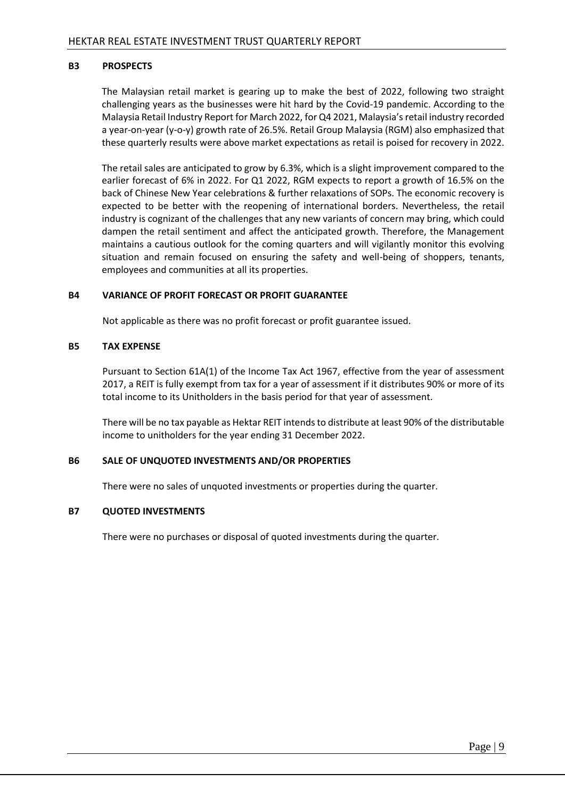## **B3 PROSPECTS**

The Malaysian retail market is gearing up to make the best of 2022, following two straight challenging years as the businesses were hit hard by the Covid-19 pandemic. According to the Malaysia Retail Industry Report for March 2022, for Q4 2021, Malaysia's retail industry recorded a year-on-year (y-o-y) growth rate of 26.5%. Retail Group Malaysia (RGM) also emphasized that these quarterly results were above market expectations as retail is poised for recovery in 2022.

The retail sales are anticipated to grow by 6.3%, which is a slight improvement compared to the earlier forecast of 6% in 2022. For Q1 2022, RGM expects to report a growth of 16.5% on the back of Chinese New Year celebrations & further relaxations of SOPs. The economic recovery is expected to be better with the reopening of international borders. Nevertheless, the retail industry is cognizant of the challenges that any new variants of concern may bring, which could dampen the retail sentiment and affect the anticipated growth. Therefore, the Management maintains a cautious outlook for the coming quarters and will vigilantly monitor this evolving situation and remain focused on ensuring the safety and well-being of shoppers, tenants, employees and communities at all its properties.

## **B4 VARIANCE OF PROFIT FORECAST OR PROFIT GUARANTEE**

Not applicable as there was no profit forecast or profit guarantee issued.

## **B5 TAX EXPENSE**

Pursuant to Section 61A(1) of the Income Tax Act 1967, effective from the year of assessment 2017, a REIT is fully exempt from tax for a year of assessment if it distributes 90% or more of its total income to its Unitholders in the basis period for that year of assessment.

There will be no tax payable as Hektar REIT intends to distribute at least 90% of the distributable income to unitholders for the year ending 31 December 2022.

## **B6 SALE OF UNQUOTED INVESTMENTS AND/OR PROPERTIES**

There were no sales of unquoted investments or properties during the quarter.

#### **B7 QUOTED INVESTMENTS**

There were no purchases or disposal of quoted investments during the quarter.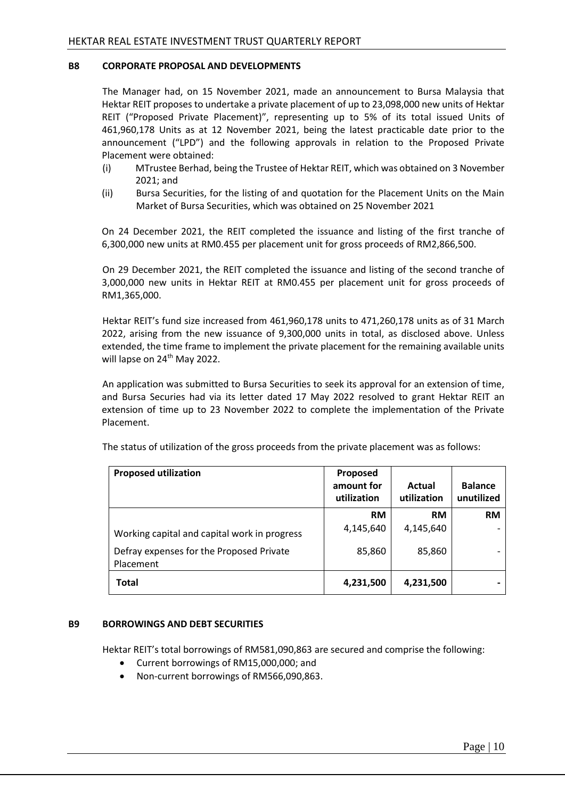## **B8 CORPORATE PROPOSAL AND DEVELOPMENTS**

The Manager had, on 15 November 2021, made an announcement to Bursa Malaysia that Hektar REIT proposes to undertake a private placement of up to 23,098,000 new units of Hektar REIT ("Proposed Private Placement)", representing up to 5% of its total issued Units of 461,960,178 Units as at 12 November 2021, being the latest practicable date prior to the announcement ("LPD") and the following approvals in relation to the Proposed Private Placement were obtained:

- (i) MTrustee Berhad, being the Trustee of Hektar REIT, which was obtained on 3 November 2021; and
- (ii) Bursa Securities, for the listing of and quotation for the Placement Units on the Main Market of Bursa Securities, which was obtained on 25 November 2021

On 24 December 2021, the REIT completed the issuance and listing of the first tranche of 6,300,000 new units at RM0.455 per placement unit for gross proceeds of RM2,866,500.

On 29 December 2021, the REIT completed the issuance and listing of the second tranche of 3,000,000 new units in Hektar REIT at RM0.455 per placement unit for gross proceeds of RM1,365,000.

Hektar REIT's fund size increased from 461,960,178 units to 471,260,178 units as of 31 March 2022, arising from the new issuance of 9,300,000 units in total, as disclosed above. Unless extended, the time frame to implement the private placement for the remaining available units will lapse on 24<sup>th</sup> May 2022.

An application was submitted to Bursa Securities to seek its approval for an extension of time, and Bursa Securies had via its letter dated 17 May 2022 resolved to grant Hektar REIT an extension of time up to 23 November 2022 to complete the implementation of the Private Placement.

| <b>Proposed utilization</b>                           | Proposed<br>amount for<br>utilization | Actual<br>utilization | <b>Balance</b><br>unutilized |
|-------------------------------------------------------|---------------------------------------|-----------------------|------------------------------|
|                                                       | <b>RM</b>                             | <b>RM</b>             | <b>RM</b>                    |
| Working capital and capital work in progress          | 4,145,640                             | 4,145,640             |                              |
| Defray expenses for the Proposed Private<br>Placement | 85,860                                | 85,860                |                              |
| Total                                                 | 4,231,500                             | 4,231,500             |                              |

The status of utilization of the gross proceeds from the private placement was as follows:

#### **B9 BORROWINGS AND DEBT SECURITIES**

Hektar REIT's total borrowings of RM581,090,863 are secured and comprise the following:

- Current borrowings of RM15,000,000; and
- Non-current borrowings of RM566,090,863.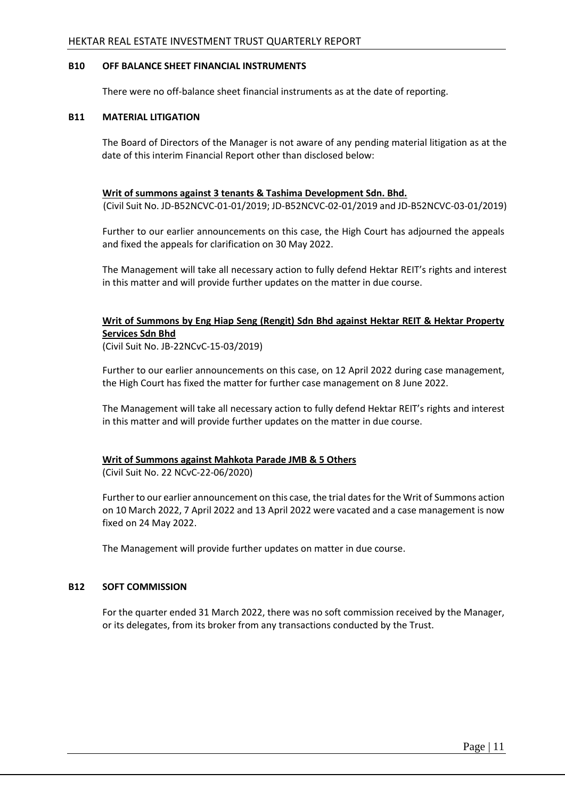## **B10 OFF BALANCE SHEET FINANCIAL INSTRUMENTS**

There were no off-balance sheet financial instruments as at the date of reporting.

## **B11 MATERIAL LITIGATION**

The Board of Directors of the Manager is not aware of any pending material litigation as at the date of this interim Financial Report other than disclosed below:

## **Writ of summons against 3 tenants & Tashima Development Sdn. Bhd.**

(Civil Suit No. JD-B52NCVC-01-01/2019; JD-B52NCVC-02-01/2019 and JD-B52NCVC-03-01/2019)

Further to our earlier announcements on this case, the High Court has adjourned the appeals and fixed the appeals for clarification on 30 May 2022.

The Management will take all necessary action to fully defend Hektar REIT's rights and interest in this matter and will provide further updates on the matter in due course.

## **Writ of Summons by Eng Hiap Seng (Rengit) Sdn Bhd against Hektar REIT & Hektar Property Services Sdn Bhd**

(Civil Suit No. JB-22NCvC-15-03/2019)

Further to our earlier announcements on this case, on 12 April 2022 during case management, the High Court has fixed the matter for further case management on 8 June 2022.

The Management will take all necessary action to fully defend Hektar REIT's rights and interest in this matter and will provide further updates on the matter in due course.

## **Writ of Summons against Mahkota Parade JMB & 5 Others**

(Civil Suit No. 22 NCvC-22-06/2020)

Further to our earlier announcement on this case, the trial dates for the Writ of Summons action on 10 March 2022, 7 April 2022 and 13 April 2022 were vacated and a case management is now fixed on 24 May 2022.

The Management will provide further updates on matter in due course.

#### **B12 SOFT COMMISSION**

For the quarter ended 31 March 2022, there was no soft commission received by the Manager, or its delegates, from its broker from any transactions conducted by the Trust.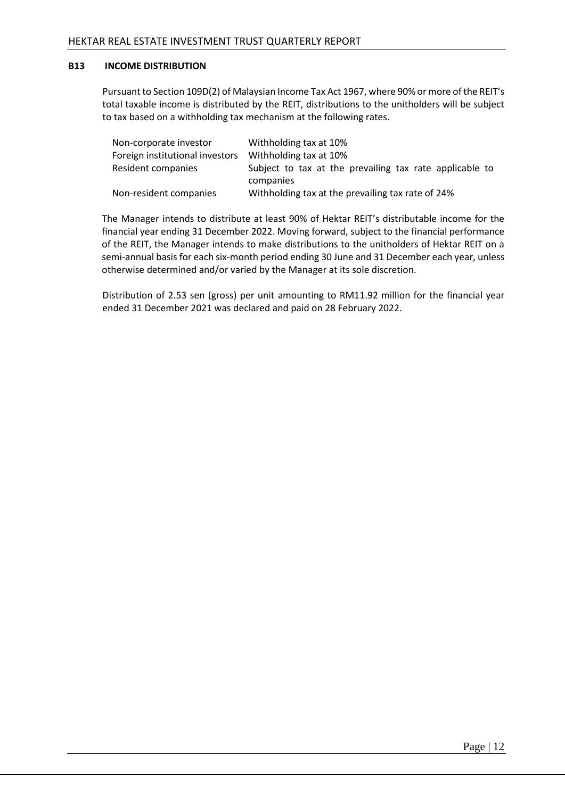## **B13 INCOME DISTRIBUTION**

Pursuant to Section 109D(2) of Malaysian Income Tax Act 1967, where 90% or more of the REIT's total taxable income is distributed by the REIT, distributions to the unitholders will be subject to tax based on a withholding tax mechanism at the following rates.

| Non-corporate investor          | Withholding tax at 10%                                  |
|---------------------------------|---------------------------------------------------------|
| Foreign institutional investors | Withholding tax at 10%                                  |
| Resident companies              | Subject to tax at the prevailing tax rate applicable to |
|                                 | companies                                               |
| Non-resident companies          | Withholding tax at the prevailing tax rate of 24%       |

The Manager intends to distribute at least 90% of Hektar REIT's distributable income for the financial year ending 31 December 2022. Moving forward, subject to the financial performance of the REIT, the Manager intends to make distributions to the unitholders of Hektar REIT on a semi-annual basis for each six-month period ending 30 June and 31 December each year, unless otherwise determined and/or varied by the Manager at its sole discretion.

Distribution of 2.53 sen (gross) per unit amounting to RM11.92 million for the financial year ended 31 December 2021 was declared and paid on 28 February 2022.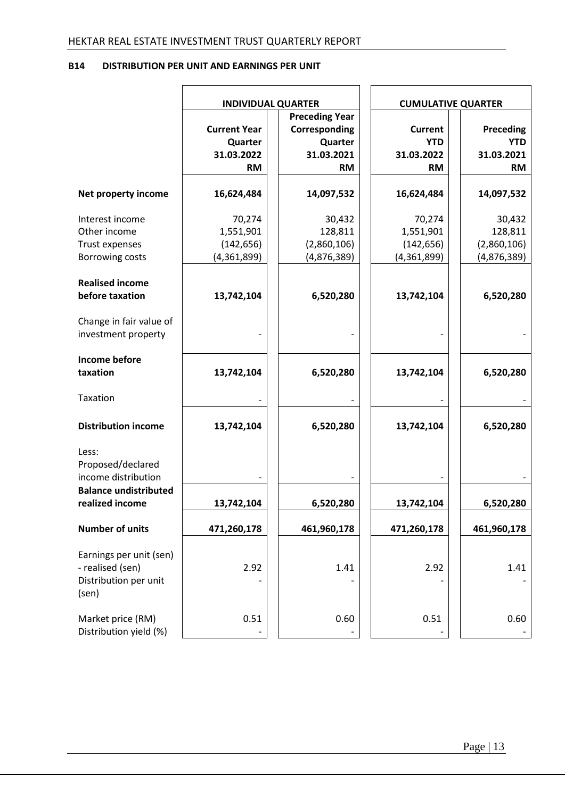## **B14 DISTRIBUTION PER UNIT AND EARNINGS PER UNIT**

|                                                                               | <b>INDIVIDUAL QUARTER</b>                                 |                                                                              |                                                         | <b>CUMULATIVE QUARTER</b>                          |
|-------------------------------------------------------------------------------|-----------------------------------------------------------|------------------------------------------------------------------------------|---------------------------------------------------------|----------------------------------------------------|
|                                                                               | <b>Current Year</b><br>Quarter<br>31.03.2022<br><b>RM</b> | <b>Preceding Year</b><br>Corresponding<br>Quarter<br>31.03.2021<br><b>RM</b> | <b>Current</b><br><b>YTD</b><br>31.03.2022<br><b>RM</b> | Preceding<br><b>YTD</b><br>31.03.2021<br><b>RM</b> |
| Net property income                                                           | 16,624,484                                                | 14,097,532                                                                   | 16,624,484                                              | 14,097,532                                         |
| Interest income<br>Other income<br>Trust expenses<br><b>Borrowing costs</b>   | 70,274<br>1,551,901<br>(142, 656)<br>(4,361,899)          | 30,432<br>128,811<br>(2,860,106)<br>(4,876,389)                              | 70,274<br>1,551,901<br>(142, 656)<br>(4,361,899)        | 30,432<br>128,811<br>(2,860,106)<br>(4,876,389)    |
| <b>Realised income</b><br>before taxation                                     | 13,742,104                                                | 6,520,280                                                                    | 13,742,104                                              | 6,520,280                                          |
| Change in fair value of<br>investment property                                |                                                           |                                                                              |                                                         |                                                    |
| <b>Income before</b><br>taxation                                              | 13,742,104                                                | 6,520,280                                                                    | 13,742,104                                              | 6,520,280                                          |
| Taxation                                                                      |                                                           |                                                                              |                                                         |                                                    |
| <b>Distribution income</b>                                                    | 13,742,104                                                | 6,520,280                                                                    | 13,742,104                                              | 6,520,280                                          |
| Less:<br>Proposed/declared<br>income distribution                             |                                                           |                                                                              |                                                         |                                                    |
| <b>Balance undistributed</b><br>realized income                               | 13,742,104                                                | 6,520,280                                                                    | 13,742,104                                              | 6,520,280                                          |
| <b>Number of units</b>                                                        | 471,260,178                                               | 461,960,178                                                                  | 471,260,178                                             | 461,960,178                                        |
| Earnings per unit (sen)<br>- realised (sen)<br>Distribution per unit<br>(sen) | 2.92                                                      | 1.41                                                                         | 2.92                                                    | 1.41                                               |
| Market price (RM)<br>Distribution yield (%)                                   | 0.51                                                      | 0.60                                                                         | 0.51                                                    | 0.60                                               |